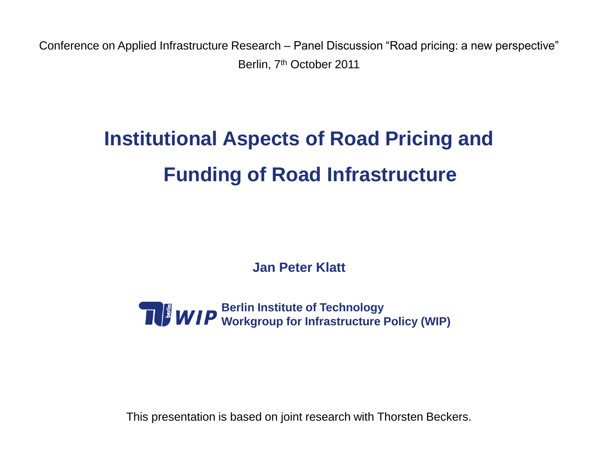Conference on Applied Infrastructure Research – Panel Discussion "Road pricing: a new perspective" Berlin, 7<sup>th</sup> October 2011

# **Institutional Aspects of Road Pricing and Funding of Road Infrastructure**

**Jan Peter Klatt**



This presentation is based on joint research with Thorsten Beckers.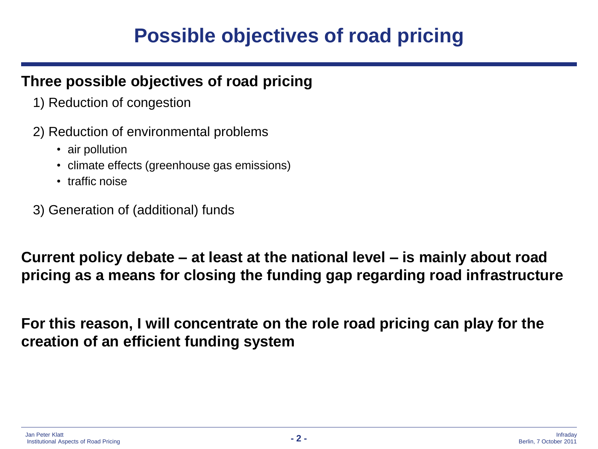### **Possible objectives of road pricing**

#### **Three possible objectives of road pricing**

- 1) Reduction of congestion
- 2) Reduction of environmental problems
	- air pollution
	- climate effects (greenhouse gas emissions)
	- traffic noise
- 3) Generation of (additional) funds

**Current policy debate – at least at the national level – is mainly about road pricing as a means for closing the funding gap regarding road infrastructure**

**For this reason, I will concentrate on the role road pricing can play for the creation of an efficient funding system**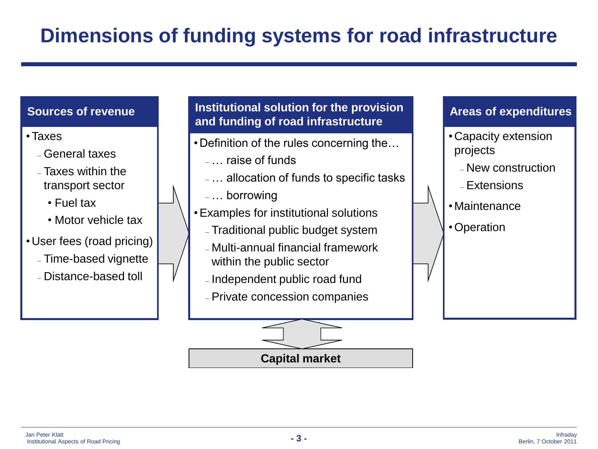#### **Sources of revenue**

- •Taxes
	- General taxes
	- Taxes within the transport sector
		- Fuel tax
		- Motor vehicle tax
- User fees (road pricing)
	- Time-based vignette
	- Distance-based toll

#### **Institutional solution for the provision and funding of road infrastructure**

- Definition of the rules concerning the…
	- … raise of funds
	- … allocation of funds to specific tasks
- … borrowing
- •Examples for institutional solutions
	- Traditional public budget system
	- Multi-annual financial framework within the public sector
	- Independent public road fund
	- Private concession companies



**Areas of expenditures**

•Operation

**Capital market**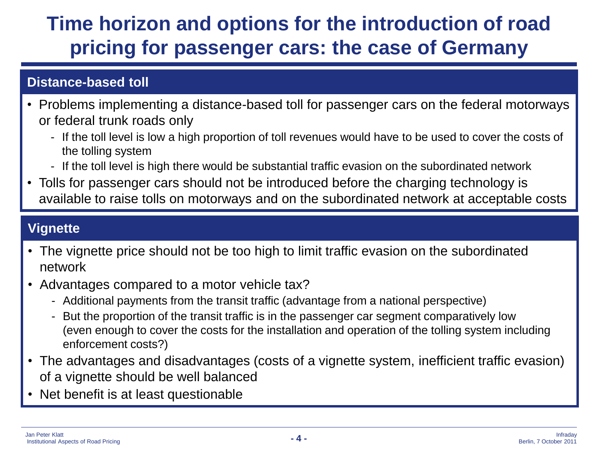# **Time horizon and options for the introduction of road pricing for passenger cars: the case of Germany**

#### **Distance-based toll**

- Problems implementing a distance-based toll for passenger cars on the federal motorways or federal trunk roads only
	- If the toll level is low a high proportion of toll revenues would have to be used to cover the costs of the tolling system
	- If the toll level is high there would be substantial traffic evasion on the subordinated network
- Tolls for passenger cars should not be introduced before the charging technology is available to raise tolls on motorways and on the subordinated network at acceptable costs

#### **Vignette**

- The vignette price should not be too high to limit traffic evasion on the subordinated network
- Advantages compared to a motor vehicle tax?
	- Additional payments from the transit traffic (advantage from a national perspective)
	- But the proportion of the transit traffic is in the passenger car segment comparatively low (even enough to cover the costs for the installation and operation of the tolling system including enforcement costs?)
- The advantages and disadvantages (costs of a vignette system, inefficient traffic evasion) of a vignette should be well balanced
- Net benefit is at least questionable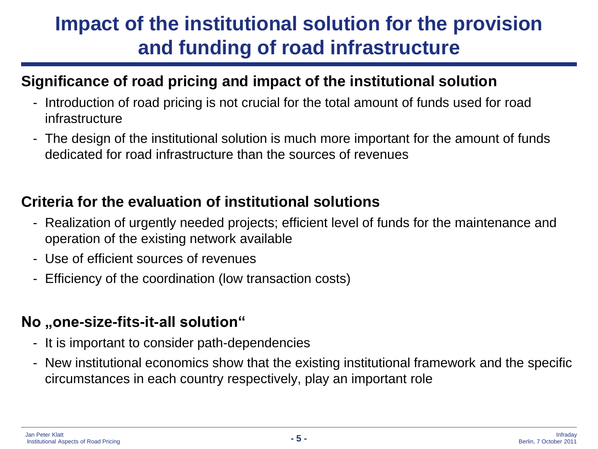# **Impact of the institutional solution for the provision and funding of road infrastructure**

### **Significance of road pricing and impact of the institutional solution**

- Introduction of road pricing is not crucial for the total amount of funds used for road infrastructure
- The design of the institutional solution is much more important for the amount of funds dedicated for road infrastructure than the sources of revenues

### **Criteria for the evaluation of institutional solutions**

- Realization of urgently needed projects; efficient level of funds for the maintenance and operation of the existing network available
- Use of efficient sources of revenues
- Efficiency of the coordination (low transaction costs)

#### **No** "one-size-fits-it-all solution"

- It is important to consider path-dependencies
- New institutional economics show that the existing institutional framework and the specific circumstances in each country respectively, play an important role